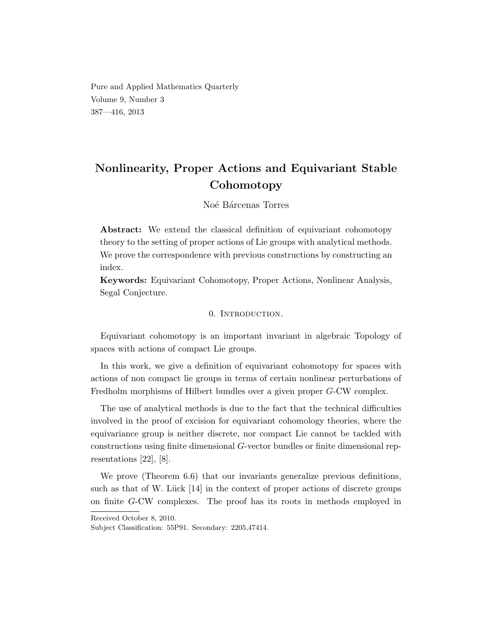Pure and Applied Mathematics Quarterly Volume 9, Number 3 387—416, 2013

# Nonlinearity, Proper Actions and Equivariant Stable Cohomotopy

## Noé Bárcenas Torres

Abstract: We extend the classical definition of equivariant cohomotopy theory to the setting of proper actions of Lie groups with analytical methods. We prove the correspondence with previous constructions by constructing an index.

Keywords: Equivariant Cohomotopy, Proper Actions, Nonlinear Analysis, Segal Conjecture.

## 0. INTRODUCTION.

Equivariant cohomotopy is an important invariant in algebraic Topology of spaces with actions of compact Lie groups.

In this work, we give a definition of equivariant cohomotopy for spaces with actions of non compact lie groups in terms of certain nonlinear perturbations of Fredholm morphisms of Hilbert bundles over a given proper G-CW complex.

The use of analytical methods is due to the fact that the technical difficulties involved in the proof of excision for equivariant cohomology theories, where the equivariance group is neither discrete, nor compact Lie cannot be tackled with constructions using finite dimensional G-vector bundles or finite dimensional representations [22], [8].

We prove (Theorem 6.6) that our invariants generalize previous definitions, such as that of W. Lück  $[14]$  in the context of proper actions of discrete groups on finite G-CW complexes. The proof has its roots in methods employed in

Received October 8, 2010.

Subject Classification: 55P91. Secondary: 2205,47414.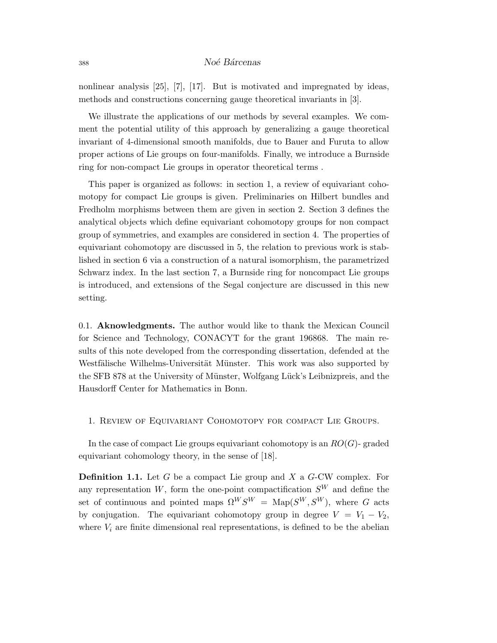## <sup>388</sup> No´e B´arcenas

nonlinear analysis [25], [7], [17]. But is motivated and impregnated by ideas, methods and constructions concerning gauge theoretical invariants in [3].

We illustrate the applications of our methods by several examples. We comment the potential utility of this approach by generalizing a gauge theoretical invariant of 4-dimensional smooth manifolds, due to Bauer and Furuta to allow proper actions of Lie groups on four-manifolds. Finally, we introduce a Burnside ring for non-compact Lie groups in operator theoretical terms .

This paper is organized as follows: in section 1, a review of equivariant cohomotopy for compact Lie groups is given. Preliminaries on Hilbert bundles and Fredholm morphisms between them are given in section 2. Section 3 defines the analytical objects which define equivariant cohomotopy groups for non compact group of symmetries, and examples are considered in section 4. The properties of equivariant cohomotopy are discussed in 5, the relation to previous work is stablished in section 6 via a construction of a natural isomorphism, the parametrized Schwarz index. In the last section 7, a Burnside ring for noncompact Lie groups is introduced, and extensions of the Segal conjecture are discussed in this new setting.

0.1. Aknowledgments. The author would like to thank the Mexican Council for Science and Technology, CONACYT for the grant 196868. The main results of this note developed from the corresponding dissertation, defended at the Westfälische Wilhelms-Universität Münster. This work was also supported by the SFB 878 at the University of Münster, Wolfgang Lück's Leibnizpreis, and the Hausdorff Center for Mathematics in Bonn.

## 1. Review of Equivariant Cohomotopy for compact Lie Groups.

In the case of compact Lie groups equivariant cohomotopy is an  $RO(G)$ -graded equivariant cohomology theory, in the sense of [18].

**Definition 1.1.** Let  $G$  be a compact Lie group and  $X$  a  $G$ -CW complex. For any representation  $W$ , form the one-point compactification  $S<sup>W</sup>$  and define the set of continuous and pointed maps  $\Omega^W S^W = \text{Map}(S^W, S^W)$ , where G acts by conjugation. The equivariant cohomotopy group in degree  $V = V_1 - V_2$ , where  $V_i$  are finite dimensional real representations, is defined to be the abelian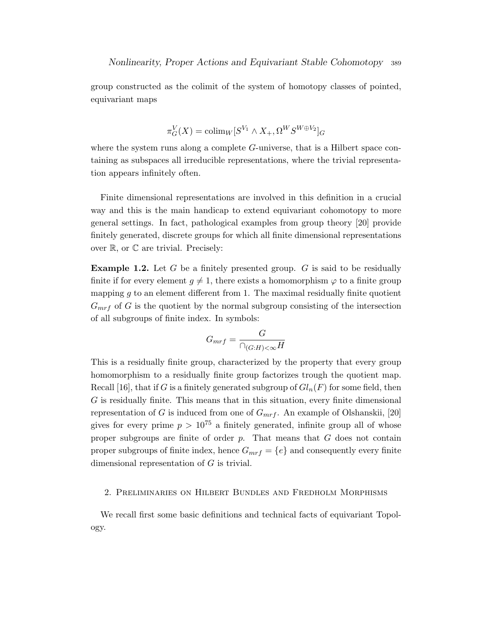group constructed as the colimit of the system of homotopy classes of pointed, equivariant maps

$$
\pi_G^V(X) = \operatorname{colim}_W[S^{V_1} \wedge X_+, \Omega^W S^{W \oplus V_2}]_G
$$

where the system runs along a complete  $G$ -universe, that is a Hilbert space containing as subspaces all irreducible representations, where the trivial representation appears infinitely often.

Finite dimensional representations are involved in this definition in a crucial way and this is the main handicap to extend equivariant cohomotopy to more general settings. In fact, pathological examples from group theory [20] provide finitely generated, discrete groups for which all finite dimensional representations over  $\mathbb{R}$ , or  $\mathbb{C}$  are trivial. Precisely:

**Example 1.2.** Let  $G$  be a finitely presented group.  $G$  is said to be residually finite if for every element  $g \neq 1$ , there exists a homomorphism  $\varphi$  to a finite group mapping  $q$  to an element different from 1. The maximal residually finite quotient  $G_{mrf}$  of G is the quotient by the normal subgroup consisting of the intersection of all subgroups of finite index. In symbols:

$$
G_{mrf} = \frac{G}{\cap_{(G:H) < \infty} H}
$$

This is a residually finite group, characterized by the property that every group homomorphism to a residually finite group factorizes trough the quotient map. Recall [16], that if G is a finitely generated subgroup of  $Gl_n(F)$  for some field, then  $G$  is residually finite. This means that in this situation, every finite dimensional representation of G is induced from one of  $G_{mrf}$ . An example of Olshanskii, [20] gives for every prime  $p > 10^{75}$  a finitely generated, infinite group all of whose proper subgroups are finite of order  $p$ . That means that  $G$  does not contain proper subgroups of finite index, hence  $G_{mrf} = \{e\}$  and consequently every finite dimensional representation of G is trivial.

## 2. Preliminaries on Hilbert Bundles and Fredholm Morphisms

We recall first some basic definitions and technical facts of equivariant Topology.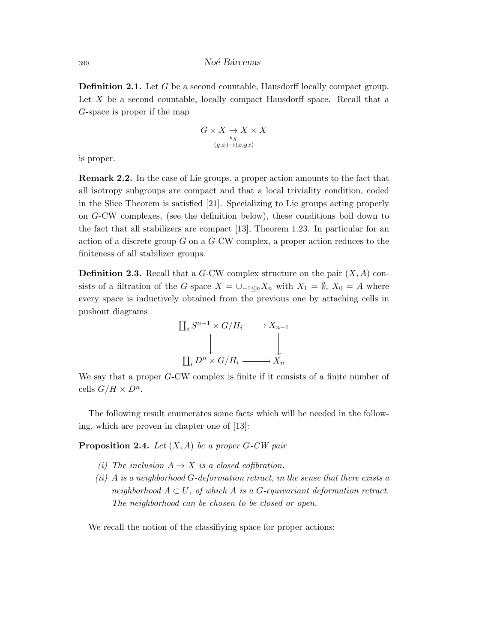**Definition 2.1.** Let G be a second countable, Hausdorff locally compact group. Let  $X$  be a second countable, locally compact Hausdorff space. Recall that a G-space is proper if the map

$$
G \times X \underset{(g,x) \mapsto (x,gx)}{\rightarrow} X \times X
$$

$$
(g,x) \mapsto (x,gx)
$$

is proper.

Remark 2.2. In the case of Lie groups, a proper action amounts to the fact that all isotropy subgroups are compact and that a local triviality condition, coded in the Slice Theorem is satisfied [21]. Specializing to Lie groups acting properly on G-CW complexes, (see the definition below), these conditions boil down to the fact that all stabilizers are compact [13], Theorem 1.23. In particular for an action of a discrete group G on a G-CW complex, a proper action reduces to the finiteness of all stabilizer groups.

**Definition 2.3.** Recall that a G-CW complex structure on the pair  $(X, A)$  consists of a filtration of the G-space  $X = \bigcup_{-1 \le n} X_n$  with  $X_1 = \emptyset$ ,  $X_0 = A$  where every space is inductively obtained from the previous one by attaching cells in pushout diagrams



We say that a proper G-CW complex is finite if it consists of a finite number of cells  $G/H \times D^n$ .

The following result enumerates some facts which will be needed in the following, which are proven in chapter one of [13]:

**Proposition 2.4.** Let  $(X, A)$  be a proper G-CW pair

- (i) The inclusion  $A \to X$  is a closed cofibration.
- $(ii)$  A is a neighborhood G-deformation retract, in the sense that there exists a neighborhood  $A \subset U$ , of which A is a G-equivariant deformation retract. The neighborhood can be chosen to be closed or open.

We recall the notion of the classifiying space for proper actions: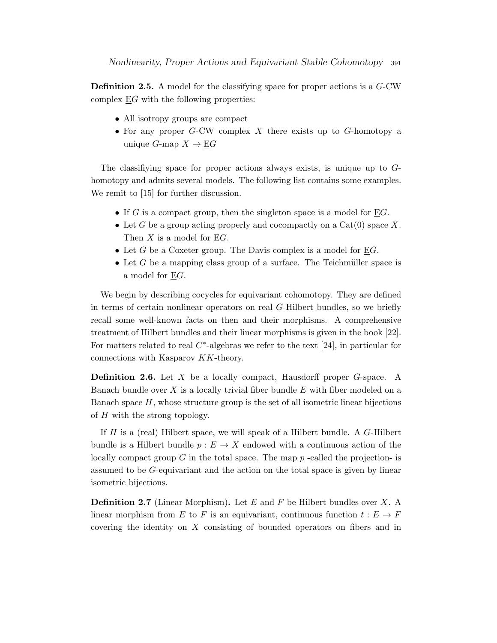Definition 2.5. A model for the classifying space for proper actions is a G-CW complex EG with the following properties:

- All isotropy groups are compact
- For any proper  $G$ -CW complex  $X$  there exists up to  $G$ -homotopy a unique G-map  $X \to EG$

The classifiying space for proper actions always exists, is unique up to Ghomotopy and admits several models. The following list contains some examples. We remit to [15] for further discussion.

- If G is a compact group, then the singleton space is a model for  $\underline{E}G$ .
- Let G be a group acting properly and cocompactly on a  $Cat(0)$  space X. Then X is a model for EG.
- Let G be a Coxeter group. The Davis complex is a model for  $\underline{E}G$ .
- Let  $G$  be a mapping class group of a surface. The Teichmüller space is a model for EG.

We begin by describing cocycles for equivariant cohomotopy. They are defined in terms of certain nonlinear operators on real G-Hilbert bundles, so we briefly recall some well-known facts on then and their morphisms. A comprehensive treatment of Hilbert bundles and their linear morphisms is given in the book [22]. For matters related to real  $C^*$ -algebras we refer to the text [24], in particular for connections with Kasparov KK-theory.

**Definition 2.6.** Let X be a locally compact, Hausdorff proper G-space. A Banach bundle over  $X$  is a locally trivial fiber bundle  $E$  with fiber modeled on a Banach space  $H$ , whose structure group is the set of all isometric linear bijections of  $H$  with the strong topology.

If H is a (real) Hilbert space, we will speak of a Hilbert bundle. A G-Hilbert bundle is a Hilbert bundle  $p : E \to X$  endowed with a continuous action of the locally compact group G in the total space. The map  $p$ -called the projection- is assumed to be G-equivariant and the action on the total space is given by linear isometric bijections.

**Definition 2.7** (Linear Morphism). Let  $E$  and  $F$  be Hilbert bundles over  $X$ . A linear morphism from E to F is an equivariant, continuous function  $t : E \to F$ covering the identity on X consisting of bounded operators on fibers and in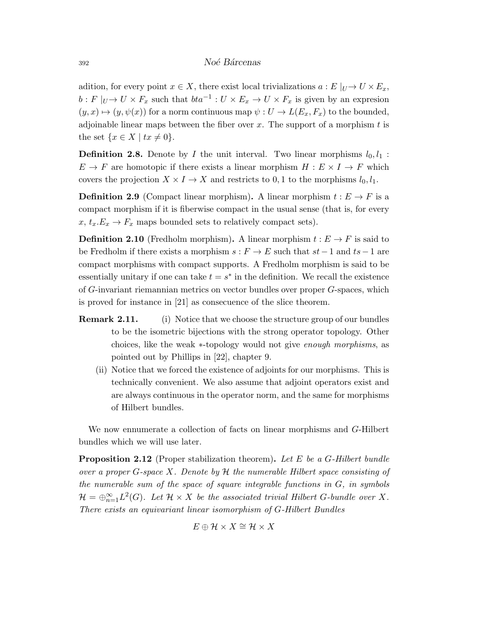adition, for every point  $x \in X$ , there exist local trivializations  $a : E|_{U} \to U \times E_x$ ,  $b: F|_{U} \to U \times F_x$  such that  $bta^{-1}: U \times E_x \to U \times F_x$  is given by an expression  $(y, x) \mapsto (y, \psi(x))$  for a norm continuous map  $\psi : U \to L(E_x, F_x)$  to the bounded, adjoinable linear maps between the fiber over  $x$ . The support of a morphism  $t$  is the set  $\{x \in X \mid tx \neq 0\}.$ 

**Definition 2.8.** Denote by I the unit interval. Two linear morphisms  $l_0, l_1$ :  $E \to F$  are homotopic if there exists a linear morphism  $H : E \times I \to F$  which covers the projection  $X \times I \to X$  and restricts to 0, 1 to the morphisms  $l_0, l_1$ .

**Definition 2.9** (Compact linear morphism). A linear morphism  $t : E \to F$  is a compact morphism if it is fiberwise compact in the usual sense (that is, for every  $x, t_x.E_x \to F_x$  maps bounded sets to relatively compact sets).

**Definition 2.10** (Fredholm morphism). A linear morphism  $t : E \to F$  is said to be Fredholm if there exists a morphism  $s : F \to E$  such that  $st-1$  and  $ts-1$  are compact morphisms with compact supports. A Fredholm morphism is said to be essentially unitary if one can take  $t = s^*$  in the definition. We recall the existence of G-invariant riemannian metrics on vector bundles over proper G-spaces, which is proved for instance in [21] as consecuence of the slice theorem.

- **Remark 2.11.** (i) Notice that we choose the structure group of our bundles to be the isometric bijections with the strong operator topology. Other choices, like the weak ∗-topology would not give enough morphisms, as pointed out by Phillips in [22], chapter 9.
	- (ii) Notice that we forced the existence of adjoints for our morphisms. This is technically convenient. We also assume that adjoint operators exist and are always continuous in the operator norm, and the same for morphisms of Hilbert bundles.

We now ennumerate a collection of facts on linear morphisms and G-Hilbert bundles which we will use later.

**Proposition 2.12** (Proper stabilization theorem). Let E be a G-Hilbert bundle over a proper  $G$ -space X. Denote by  $H$  the numerable Hilbert space consisting of the numerable sum of the space of square integrable functions in  $G$ , in symbols  $\mathcal{H}=\oplus_{n=1}^{\infty}L^2(G)$ . Let  $\mathcal{H}\times X$  be the associated trivial Hilbert G-bundle over X. There exists an equivariant linear isomorphism of G-Hilbert Bundles

$$
E \oplus \mathcal{H} \times X \cong \mathcal{H} \times X
$$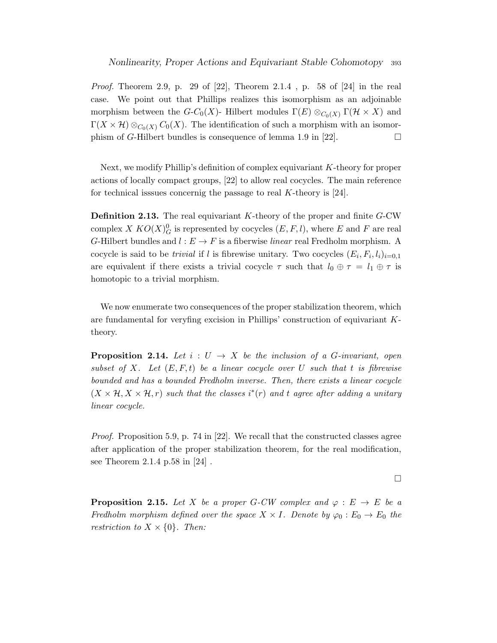*Proof.* Theorem 2.9, p. 29 of [22], Theorem 2.1.4, p. 58 of [24] in the real case. We point out that Phillips realizes this isomorphism as an adjoinable morphism between the  $G-C_0(X)$ - Hilbert modules  $\Gamma(E) \otimes_{C_0(X)} \Gamma(\mathcal{H} \times X)$  and  $\Gamma(X \times \mathcal{H}) \otimes_{C_0(X)} C_0(X)$ . The identification of such a morphism with an isomorphism of G-Hilbert bundles is consequence of lemma 1.9 in [22].

Next, we modify Phillip's definition of complex equivariant K-theory for proper actions of locally compact groups, [22] to allow real cocycles. The main reference for technical isssues concernig the passage to real K-theory is  $[24]$ .

**Definition 2.13.** The real equivariant K-theory of the proper and finite G-CW complex X  $KO(X)_G^0$  is represented by cocycles  $(E, F, l)$ , where E and F are real G-Hilbert bundles and  $l : E \to F$  is a fiberwise *linear* real Fredholm morphism. A cocycle is said to be *trivial* if l is fibrewise unitary. Two cocycles  $(E_i, F_i, l_i)_{i=0,1}$ are equivalent if there exists a trivial cocycle  $\tau$  such that  $l_0 \oplus \tau = l_1 \oplus \tau$  is homotopic to a trivial morphism.

We now enumerate two consequences of the proper stabilization theorem, which are fundamental for veryfing excision in Phillips' construction of equivariant Ktheory.

**Proposition 2.14.** Let  $i: U \rightarrow X$  be the inclusion of a G-invariant, open subset of X. Let  $(E, F, t)$  be a linear cocycle over U such that t is fibrewise bounded and has a bounded Fredholm inverse. Then, there exists a linear cocycle  $(X \times \mathcal{H}, X \times \mathcal{H}, r)$  such that the classes  $i^*(r)$  and t agree after adding a unitary linear cocycle.

*Proof.* Proposition 5.9, p. 74 in [22]. We recall that the constructed classes agree after application of the proper stabilization theorem, for the real modification, see Theorem 2.1.4 p.58 in [24] .

 $\Box$ 

**Proposition 2.15.** Let X be a proper G-CW complex and  $\varphi : E \to E$  be a Fredholm morphism defined over the space  $X \times I$ . Denote by  $\varphi_0 : E_0 \to E_0$  the restriction to  $X \times \{0\}$ . Then: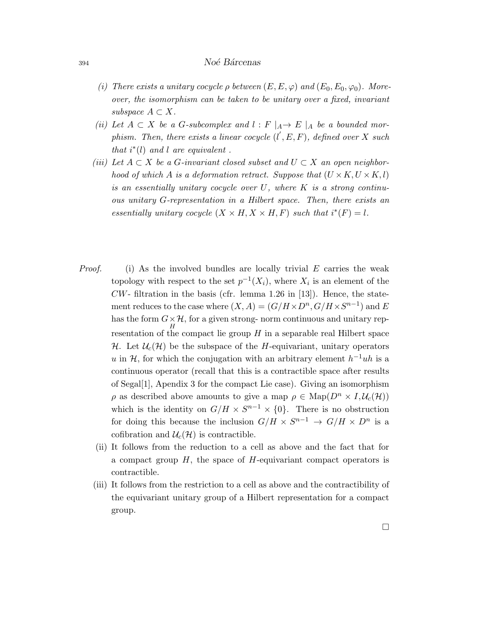- (i) There exists a unitary cocycle  $\rho$  between  $(E, E, \varphi)$  and  $(E_0, E_0, \varphi_0)$ . Moreover, the isomorphism can be taken to be unitary over a fixed, invariant subspace  $A \subset X$ .
- (ii) Let  $A \subset X$  be a G-subcomplex and  $l : F \mid_A \to E \mid_A$  be a bounded morphism. Then, there exists a linear cocycle  $(l', E, F)$ , defined over X such that  $i^*(l)$  and l are equivalent.
- (iii) Let  $A \subset X$  be a G-invariant closed subset and  $U \subset X$  an open neighborhood of which A is a deformation retract. Suppose that  $(U \times K, U \times K, l)$ is an essentially unitary cocycle over  $U$ , where  $K$  is a strong continuous unitary G-representation in a Hilbert space. Then, there exists an essentially unitary cocycle  $(X \times H, X \times H, F)$  such that  $i^*(F) = l$ .
- *Proof.* (i) As the involved bundles are locally trivial  $E$  carries the weak topology with respect to the set  $p^{-1}(X_i)$ , where  $X_i$  is an element of the  $CW$ - filtration in the basis (cfr. lemma 1.26 in [13]). Hence, the statement reduces to the case where  $(X, A) = (G/H \times D^n, G/H \times S^{n-1})$  and E has the form  $G \times \mathcal{H}$ , for a given strong- norm continuous and unitary rep- $H$ <br>resentation of the compact lie group  $H$  in a separable real Hilbert space H. Let  $\mathcal{U}_c(\mathcal{H})$  be the subspace of the H-equivariant, unitary operators u in H, for which the conjugation with an arbitrary element  $h^{-1}uh$  is a continuous operator (recall that this is a contractible space after results of Segal[1], Apendix 3 for the compact Lie case). Giving an isomorphism  $\rho$  as described above amounts to give a map  $\rho \in \text{Map}(D^n \times I, \mathcal{U}_c(\mathcal{H}))$ which is the identity on  $G/H \times S^{n-1} \times \{0\}$ . There is no obstruction for doing this because the inclusion  $G/H \times S^{n-1} \to G/H \times D^n$  is a cofibration and  $\mathcal{U}_c(\mathcal{H})$  is contractible.
	- (ii) It follows from the reduction to a cell as above and the fact that for a compact group  $H$ , the space of  $H$ -equivariant compact operators is contractible.
	- (iii) It follows from the restriction to a cell as above and the contractibility of the equivariant unitary group of a Hilbert representation for a compact group.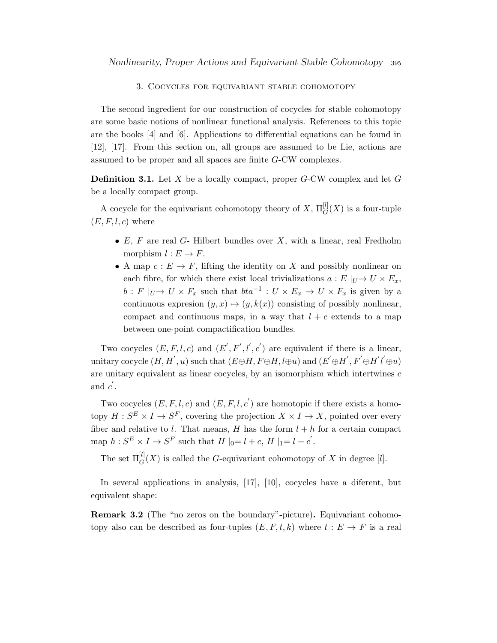#### 3. Cocycles for equivariant stable cohomotopy

The second ingredient for our construction of cocycles for stable cohomotopy are some basic notions of nonlinear functional analysis. References to this topic are the books [4] and [6]. Applications to differential equations can be found in [12], [17]. From this section on, all groups are assumed to be Lie, actions are assumed to be proper and all spaces are finite G-CW complexes.

**Definition 3.1.** Let X be a locally compact, proper G-CW complex and let G be a locally compact group.

A cocycle for the equivariant cohomotopy theory of  $X$ ,  $\Pi_G^{[l]}(X)$  is a four-tuple  $(E, F, l, c)$  where

- $E, F$  are real  $G$  Hilbert bundles over  $X$ , with a linear, real Fredholm morphism  $l : E \to F$ .
- A map  $c: E \to F$ , lifting the identity on X and possibly nonlinear on each fibre, for which there exist local trivializations  $a : E |_{U} \to U \times E_x$ ,  $b: F|_{U} \to U \times F_x$  such that  $bta^{-1}: U \times E_x \to U \times F_x$  is given by a continuous expression  $(y, x) \mapsto (y, k(x))$  consisting of possibly nonlinear, compact and continuous maps, in a way that  $l + c$  extends to a map between one-point compactification bundles.

Two cocycles  $(E, F, l, c)$  and  $(E', F', l', c')$  are equivalent if there is a linear, unitary cocycle  $(H, H^{'}, u)$  such that  $(E \oplus H, F \oplus H, l \oplus u)$  and  $(E' \oplus H^{'}, F' \oplus H^{'} l^{'} \oplus u)$ are unitary equivalent as linear cocycles, by an isomorphism which intertwines  $c$ and  $c'$ .

Two cocycles  $(E, F, l, c)$  and  $(E, F, l, c')$  are homotopic if there exists a homotopy  $H: S^E \times I \to S^F$ , covering the projection  $X \times I \to X$ , pointed over every fiber and relative to l. That means, H has the form  $l + h$  for a certain compact map  $h: S^E \times I \to S^F$  such that  $H|_{0}=l+c$ ,  $H|_{1}=l+c'$ .

The set  $\Pi_G^{[l]}(X)$  is called the G-equivariant cohomotopy of X in degree [l].

In several applications in analysis, [17], [10], cocycles have a diferent, but equivalent shape:

Remark 3.2 (The "no zeros on the boundary"-picture). Equivariant cohomotopy also can be described as four-tuples  $(E, F, t, k)$  where  $t : E \to F$  is a real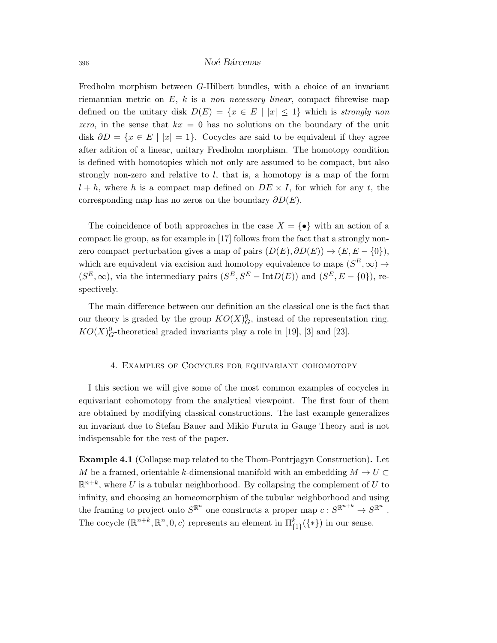Fredholm morphism between G-Hilbert bundles, with a choice of an invariant riemannian metric on  $E$ , k is a non necessary linear, compact fibrewise map defined on the unitary disk  $D(E) = \{x \in E \mid |x| \leq 1\}$  which is strongly non zero, in the sense that  $kx = 0$  has no solutions on the boundary of the unit disk  $\partial D = \{x \in E \mid |x| = 1\}$ . Cocycles are said to be equivalent if they agree after adition of a linear, unitary Fredholm morphism. The homotopy condition is defined with homotopies which not only are assumed to be compact, but also strongly non-zero and relative to  $l$ , that is, a homotopy is a map of the form  $l + h$ , where h is a compact map defined on  $DE \times I$ , for which for any t, the corresponding map has no zeros on the boundary  $\partial D(E)$ .

The coincidence of both approaches in the case  $X = \{\bullet\}$  with an action of a compact lie group, as for example in [17] follows from the fact that a strongly nonzero compact perturbation gives a map of pairs  $(D(E), \partial D(E)) \rightarrow (E, E - \{0\}),$ which are equivalent via excision and homotopy equivalence to maps  $(S^{E}, \infty) \rightarrow$  $(S^{E}, \infty)$ , via the intermediary pairs  $(S^{E}, S^{E} - \text{Int}D(E))$  and  $(S^{E}, E - \{0\})$ , respectively.

The main difference between our definition an the classical one is the fact that our theory is graded by the group  $KO(X)_{G}^0$ , instead of the representation ring.  $KO(X)_G^0$ -theoretical graded invariants play a role in [19], [3] and [23].

#### 4. Examples of Cocycles for equivariant cohomotopy

I this section we will give some of the most common examples of cocycles in equivariant cohomotopy from the analytical viewpoint. The first four of them are obtained by modifying classical constructions. The last example generalizes an invariant due to Stefan Bauer and Mikio Furuta in Gauge Theory and is not indispensable for the rest of the paper.

Example 4.1 (Collapse map related to the Thom-Pontrjagyn Construction). Let M be a framed, orientable k-dimensional manifold with an embedding  $M \to U \subset$  $\mathbb{R}^{n+k}$ , where U is a tubular neighborhood. By collapsing the complement of U to infinity, and choosing an homeomorphism of the tubular neighborhood and using the framing to project onto  $S^{\mathbb{R}^n}$  one constructs a proper map  $c: S^{\mathbb{R}^{n+k}} \to S^{\mathbb{R}^n}$ . The cocycle  $(\mathbb{R}^{n+k}, \mathbb{R}^n, 0, c)$  represents an element in  $\Pi_{\{1\}}^k(\{\ast\})$  in our sense.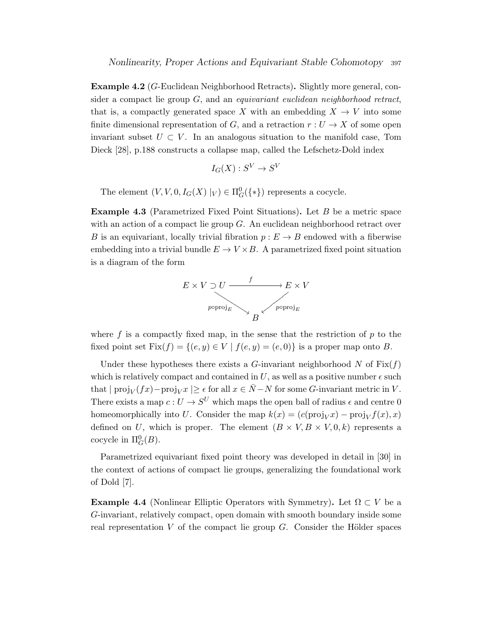Example 4.2 (G-Euclidean Neighborhood Retracts). Slightly more general, consider a compact lie group  $G$ , and an *equivariant euclidean neighborhood retract*, that is, a compactly generated space X with an embedding  $X \to V$  into some finite dimensional representation of G, and a retraction  $r: U \to X$  of some open invariant subset  $U \subset V$ . In an analogous situation to the manifold case, Tom Dieck [28], p.188 constructs a collapse map, called the Lefschetz-Dold index

$$
I_G(X) : S^V \to S^V
$$

The element  $(V, V, 0, I_G(X) |_V) \in \Pi_G^0({\{*\}})$  represents a cocycle.

**Example 4.3** (Parametrized Fixed Point Situations). Let  $B$  be a metric space with an action of a compact lie group G. An euclidean neighborhood retract over B is an equivariant, locally trivial fibration  $p : E \to B$  endowed with a fiberwise embedding into a trivial bundle  $E \to V \times B$ . A parametrized fixed point situation is a diagram of the form



where  $f$  is a compactly fixed map, in the sense that the restriction of  $p$  to the fixed point set  $Fix(f) = \{(e, y) \in V \mid f(e, y) = (e, 0)\}\$ is a proper map onto B.

Under these hypotheses there exists a G-invariant neighborhood N of  $Fix(f)$ which is relatively compact and contained in U, as well as a positive number  $\epsilon$  such that  $|proj_V(fx)-proj_Vx| \ge \epsilon$  for all  $x \in \overline{N}-N$  for some G-invariant metric in V. There exists a map  $c: U \to S^U$  which maps the open ball of radius  $\epsilon$  and centre 0 homeomorphically into U. Consider the map  $k(x) = (c(\text{proj}_V x) - \text{proj}_V f(x), x)$ defined on U, which is proper. The element  $(B \times V, B \times V, 0, k)$  represents a cocycle in  $\Pi^0_G(B)$ .

Parametrized equivariant fixed point theory was developed in detail in [30] in the context of actions of compact lie groups, generalizing the foundational work of Dold [7].

**Example 4.4** (Nonlinear Elliptic Operators with Symmetry). Let  $\Omega \subset V$  be a G-invariant, relatively compact, open domain with smooth boundary inside some real representation V of the compact lie group  $G$ . Consider the Hölder spaces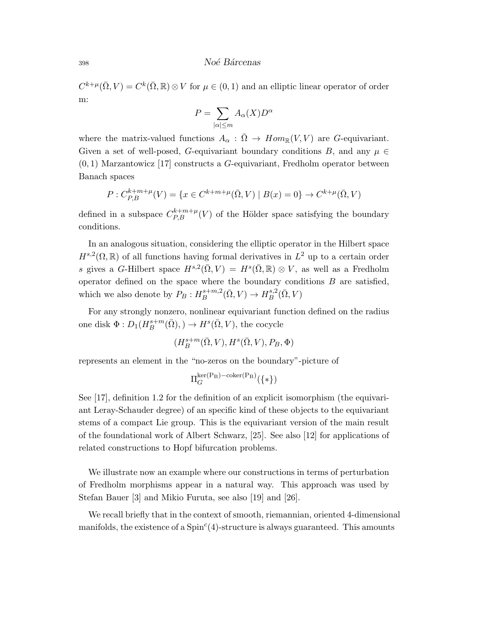$C^{k+\mu}(\bar{\Omega}, V) = C^k(\bar{\Omega}, \mathbb{R}) \otimes V$  for  $\mu \in (0, 1)$  and an elliptic linear operator of order m:

$$
P = \sum_{|\alpha| \le m} A_{\alpha}(X) D^{\alpha}
$$

where the matrix-valued functions  $A_{\alpha} : \overline{\Omega} \to Hom_{\mathbb{R}}(V, V)$  are G-equivariant. Given a set of well-posed, G-equivariant boundary conditions B, and any  $\mu \in$  $(0, 1)$  Marzantowicz [17] constructs a G-equivariant, Fredholm operator between Banach spaces

$$
P: C_{P,B}^{k+m+\mu}(V) = \{ x \in C^{k+m+\mu}(\bar{\Omega}, V) \mid B(x) = 0 \} \to C^{k+\mu}(\bar{\Omega}, V)
$$

defined in a subspace  $C_{P,B}^{k+m+\mu}(V)$  of the Hölder space satisfying the boundary conditions.

In an analogous situation, considering the elliptic operator in the Hilbert space  $H^{s,2}(\Omega,\mathbb{R})$  of all functions having formal derivatives in  $L^2$  up to a certain order s gives a G-Hilbert space  $H^{s,2}(\bar{\Omega}, V) = H^s(\bar{\Omega}, \mathbb{R}) \otimes V$ , as well as a Fredholm operator defined on the space where the boundary conditions  $B$  are satisfied, which we also denote by  $P_B: H_B^{s+m,2}$  $B^{s+m,2}(\bar{\Omega}, V) \to H^{s,2}_B$  ${}^{s,2}_B(\bar\Omega,V)$ 

For any strongly nonzero, nonlinear equivariant function defined on the radius one disk  $\Phi: D_1(H_B^{s+m})$  $B^{s+m}(\bar{\Omega}), \, \rightarrow H^s(\bar{\Omega}, V),$  the cocycle

$$
(H^{s+m}_B(\bar\Omega,V),H^s(\bar\Omega,V),P_B,\Phi)
$$

represents an element in the "no-zeros on the boundary"-picture of

$$
\Pi^{\ker(\mathbf{P}_\mathbf{B})-\operatorname{coker}(\mathbf{P}_\mathbf{B})}_{G}(\{\ast\})
$$

See [17], definition 1.2 for the definition of an explicit isomorphism (the equivariant Leray-Schauder degree) of an specific kind of these objects to the equivariant stems of a compact Lie group. This is the equivariant version of the main result of the foundational work of Albert Schwarz, [25]. See also [12] for applications of related constructions to Hopf bifurcation problems.

We illustrate now an example where our constructions in terms of perturbation of Fredholm morphisms appear in a natural way. This approach was used by Stefan Bauer [3] and Mikio Furuta, see also [19] and [26].

We recall briefly that in the context of smooth, riemannian, oriented 4-dimensional manifolds, the existence of a  $Spin<sup>c</sup>(4)$ -structure is always guaranteed. This amounts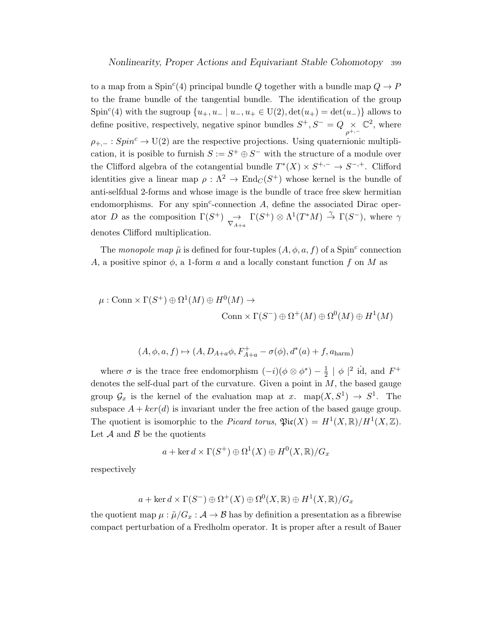to a map from a Spin<sup>c</sup>(4) principal bundle Q together with a bundle map  $Q \to P$ to the frame bundle of the tangential bundle. The identification of the group Spin<sup>c</sup>(4) with the sugroup  $\{u_+, u_- \mid u_-, u_+ \in U(2), det(u_+) = det(u_-)\}\$ allows to define positive, respectively, negative spinor bundles  $S^+, S^- = Q \times$  $\rho^{+,-}$  $\mathbb{C}^2$ , where  $\rho_{+,-}: Spin^c \to U(2)$  are the respective projections. Using quaternionic multiplication, it is posible to furnish  $S := S^+ \oplus S^-$  with the structure of a module over the Clifford algebra of the cotangential bundle  $T^*(X) \times S^{+,-} \to S^{-,+}$ . Clifford identities give a linear map  $\rho : \Lambda^2 \to \text{End}_C(S^+)$  whose kernel is the bundle of anti-selfdual 2-forms and whose image is the bundle of trace free skew hermitian endomorphisms. For any spin<sup>c</sup>-connection  $A$ , define the associated Dirac operator D as the composition  $\Gamma(S^+)$   $\to \overline{\nabla_{A+a}} \Gamma(S^+) \otimes \Lambda^1(T^*M) \stackrel{\gamma}{\to} \Gamma(S^-)$ , where  $\gamma$ denotes Clifford multiplication.

The monopole map  $\tilde{\mu}$  is defined for four-tuples  $(A, \phi, a, f)$  of a Spin<sup>c</sup> connection A, a positive spinor  $\phi$ , a 1-form a and a locally constant function f on M as

$$
\mu : \text{Conn} \times \Gamma(S^+) \oplus \Omega^1(M) \oplus H^0(M) \to
$$
  

$$
\text{Conn} \times \Gamma(S^-) \oplus \Omega^+(M) \oplus \Omega^0(M) \oplus H^1(M)
$$

$$
(A,\phi,a,f)\mapsto (A,D_{A+a}\phi,F_{A+a}^+-\sigma(\phi),d^*(a)+f,a_{\rm harm})
$$

where  $\sigma$  is the trace free endomorphism  $(-i)(\phi \otimes \phi^*) - \frac{1}{2}$  $\frac{1}{2} \mid \phi \mid^2$  id, and  $F^+$ denotes the self-dual part of the curvature. Given a point in  $M$ , the based gauge group  $\mathcal{G}_x$  is the kernel of the evaluation map at x. map $(X, S^1) \to S^1$ . The subspace  $A + ker(d)$  is invariant under the free action of the based gauge group. The quotient is isomorphic to the *Picard torus*,  $\mathfrak{Pic}(X) = H^1(X, \mathbb{R})/H^1(X, \mathbb{Z})$ . Let  $\mathcal A$  and  $\mathcal B$  be the quotients

$$
a + \ker d \times \Gamma(S^+) \oplus \Omega^1(X) \oplus H^0(X, \mathbb{R})/G_x
$$

respectively

$$
a + \ker d \times \Gamma(S^{-}) \oplus \Omega^{+}(X) \oplus \Omega^{0}(X, \mathbb{R}) \oplus H^{1}(X, \mathbb{R})/G_{x}
$$

the quotient map  $\mu : \tilde{\mu}/G_x : \mathcal{A} \to \mathcal{B}$  has by definition a presentation as a fibrewise compact perturbation of a Fredholm operator. It is proper after a result of Bauer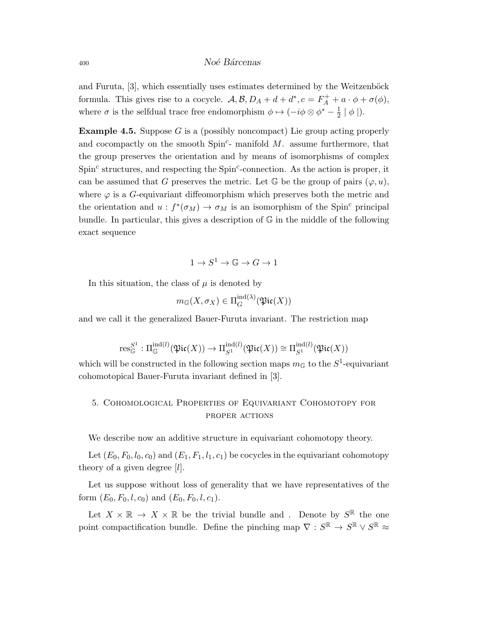and Furuta,  $[3]$ , which essentially uses estimates determined by the Weitzenböck formula. This gives rise to a cocycle.  $\mathcal{A}, \mathcal{B}, D_A + d + d^*, c = F_A^+ + a \cdot \phi + \sigma(\phi)$ , where  $\sigma$  is the selfdual trace free endomorphism  $\phi \mapsto (-i\phi \otimes \phi^* - \frac{1}{2}$  $\frac{1}{2} | \phi |$ .

**Example 4.5.** Suppose G is a (possibly noncompact) Lie group acting properly and cocompactly on the smooth  $Spin<sup>c</sup>$ -manifold M. assume furthermore, that the group preserves the orientation and by means of isomorphisms of complex  $Spin<sup>c</sup>$  structures, and respecting the  $Spin<sup>c</sup>$ -connection. As the action is proper, it can be assumed that G preserves the metric. Let  $\mathbb G$  be the group of pairs  $(\varphi, u)$ , where  $\varphi$  is a G-equivariant diffeomorphism which preserves both the metric and the orientation and  $u : f^*(\sigma_M) \to \sigma_M$  is an isomorphism of the Spin<sup>c</sup> principal bundle. In particular, this gives a description of  $\mathbb G$  in the middle of the following exact sequence

$$
1\to S^1\to \mathbb{G}\to G\to 1
$$

In this situation, the class of  $\mu$  is denoted by

$$
m_{\mathbb{G}}(X, \sigma_X) \in \Pi_G^{\mathrm{ind}(\lambda)}(\mathfrak{Pic}(X))
$$

and we call it the generalized Bauer-Furuta invariant. The restriction map

$$
\textnormal{res}^{S^1}_{\mathbb{G}}:\Pi^{ \textnormal{ind}(l)}_{\mathbb{G}}(\mathfrak{Pic}(X)) \rightarrow \Pi^{ \textnormal{ind}(l)}_{S^1}(\mathfrak{Pic}(X)) \cong \Pi^{ \textnormal{ind}(l)}_{S^1}(\mathfrak{Pic}(X))
$$

which will be constructed in the following section maps  $m_{\mathbb{G}}$  to the  $S^1$ -equivariant cohomotopical Bauer-Furuta invariant defined in [3].

## 5. Cohomological Properties of Equivariant Cohomotopy for proper actions

We describe now an additive structure in equivariant cohomotopy theory.

Let  $(E_0, F_0, l_0, c_0)$  and  $(E_1, F_1, l_1, c_1)$  be cocycles in the equivariant cohomotopy theory of a given degree  $[l]$ .

Let us suppose without loss of generality that we have representatives of the form  $(E_0, F_0, l, c_0)$  and  $(E_0, F_0, l, c_1)$ .

Let  $X \times \mathbb{R} \to X \times \mathbb{R}$  be the trivial bundle and. Denote by  $S^{\mathbb{R}}$  the one point compactification bundle. Define the pinching map  $\nabla : S^{\mathbb{R}} \to S^{\mathbb{R}} \vee S^{\mathbb{R}} \approx$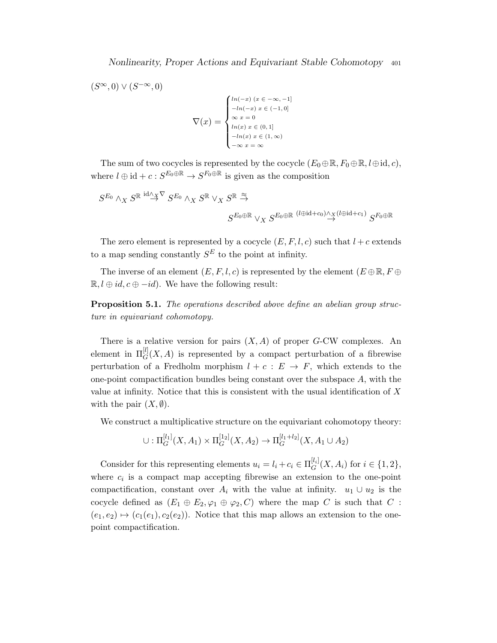$(S^{\infty},0) \vee (S^{-\infty},0)$  $\nabla(x) =$  $\sqrt{ }$  $\int$  $\overline{\mathcal{L}}$  $ln(-x)$   $(x \in -\infty, -1]$  $-ln(-x) x \in (-1,0]$  $\infty x = 0$  $ln(x) x \in (0,1]$  $-ln(x)$   $x \in (1,\infty)$  $-∞ x = ∞$ 

The sum of two cocycles is represented by the cocycle  $(E_0 \oplus \mathbb{R}, F_0 \oplus \mathbb{R}, l \oplus id, c)$ , where  $l \oplus id + c : S^{E_0 \oplus \mathbb{R}} \to S^{F_0 \oplus \mathbb{R}}$  is given as the composition

$$
S^{E_0}\wedge_X S^{\mathbb{R}} \overset{{\rm id} \wedge_X \nabla} {\to} S^{E_0}\wedge_X S^{\mathbb{R}} \vee_X S^{\mathbb{R}} \overset{\approx}{\to} \\ S^{E_0\oplus \mathbb{R}} \vee_X S^{E_0\oplus \mathbb{R}} \overset{(l\oplus {\rm id} + c_0) \wedge_X (l\oplus {\rm id} + c_1)} {\to} S^{F_0\oplus \mathbb{R}}
$$

The zero element is represented by a cocycle  $(E, F, l, c)$  such that  $l + c$  extends to a map sending constantly  $S<sup>E</sup>$  to the point at infinity.

The inverse of an element  $(E, F, l, c)$  is represented by the element  $(E \oplus \mathbb{R}, F \oplus$  $\mathbb{R}, l \oplus id, c \oplus -id$ . We have the following result:

Proposition 5.1. The operations described above define an abelian group structure in equivariant cohomotopy.

There is a relative version for pairs  $(X, A)$  of proper G-CW complexes. An element in  $\Pi_G^{[l]}(X,A)$  is represented by a compact perturbation of a fibrewise perturbation of a Fredholm morphism  $l + c : E \rightarrow F$ , which extends to the one-point compactification bundles being constant over the subspace  $A$ , with the value at infinity. Notice that this is consistent with the usual identification of X with the pair  $(X, \emptyset)$ .

We construct a multiplicative structure on the equivariant cohomotopy theory:

$$
\cup: \Pi_G^{[l_1]}(X, A_1) \times \Pi_G^{[1_2]}(X, A_2) \to \Pi_G^{[l_1+l_2]}(X, A_1 \cup A_2)
$$

Consider for this representing elements  $u_i = l_i + c_i \in \Pi_G^{[l_i]}$  $G^{[i_i]}(X, A_i)$  for  $i \in \{1, 2\},\$ where  $c_i$  is a compact map accepting fibrewise an extension to the one-point compactification, constant over  $A_i$  with the value at infinity.  $u_1 \cup u_2$  is the cocycle defined as  $(E_1 \oplus E_2, \varphi_1 \oplus \varphi_2, C)$  where the map C is such that C :  $(e_1, e_2) \mapsto (c_1(e_1), c_2(e_2))$ . Notice that this map allows an extension to the onepoint compactification.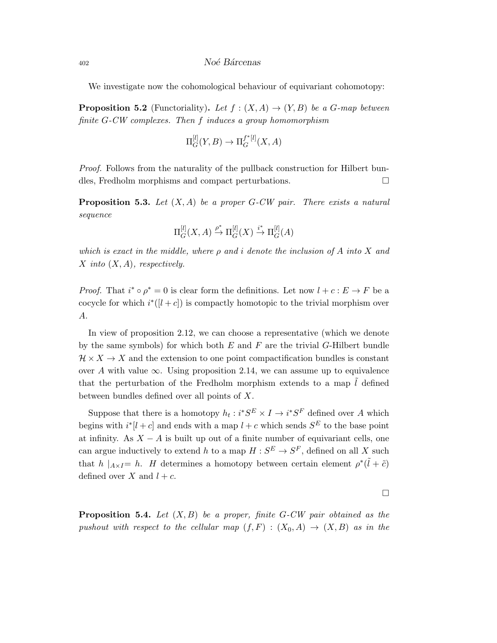We investigate now the cohomological behaviour of equivariant cohomotopy:

**Proposition 5.2** (Functoriality). Let  $f : (X, A) \rightarrow (Y, B)$  be a G-map between finite G-CW complexes. Then f induces a group homomorphism

$$
\Pi_G^{[l]}(Y,B)\rightarrow \Pi_G^{f^*[l]}(X,A)
$$

*Proof.* Follows from the naturality of the pullback construction for Hilbert bundles, Fredholm morphisms and compact perturbations.

**Proposition 5.3.** Let  $(X, A)$  be a proper G-CW pair. There exists a natural sequence

$$
\Pi_G^{[l]}(X, A) \xrightarrow{\rho^*} \Pi_G^{[l]}(X) \xrightarrow{i^*} \Pi_G^{[l]}(A)
$$

which is exact in the middle, where  $\rho$  and i denote the inclusion of A into X and X into  $(X, A)$ , respectively.

*Proof.* That  $i^* \circ \rho^* = 0$  is clear form the definitions. Let now  $l + c : E \to F$  be a cocycle for which  $i^*([l + c])$  is compactly homotopic to the trivial morphism over A.

In view of proposition 2.12, we can choose a representative (which we denote by the same symbols) for which both  $E$  and  $F$  are the trivial  $G$ -Hilbert bundle  $\mathcal{H} \times X \to X$  and the extension to one point compactification bundles is constant over A with value  $\infty$ . Using proposition 2.14, we can assume up to equivalence that the perturbation of the Fredholm morphism extends to a map  $\tilde{l}$  defined between bundles defined over all points of X.

Suppose that there is a homotopy  $h_t : i^*S^E \times I \to i^*S^F$  defined over A which begins with  $i^*[l+c]$  and ends with a map  $l+c$  which sends  $S^E$  to the base point at infinity. As  $X - A$  is built up out of a finite number of equivariant cells, one can argue inductively to extend h to a map  $H: S^E \to S^F$ , defined on all X such that  $h \mid_{A \times I} = h$ . H determines a homotopy between certain element  $\rho^*(\tilde{l} + \tilde{c})$ defined over  $X$  and  $l + c$ .

 $\Box$ 

**Proposition 5.4.** Let  $(X, B)$  be a proper, finite G-CW pair obtained as the pushout with respect to the cellular map  $(f, F) : (X_0, A) \to (X, B)$  as in the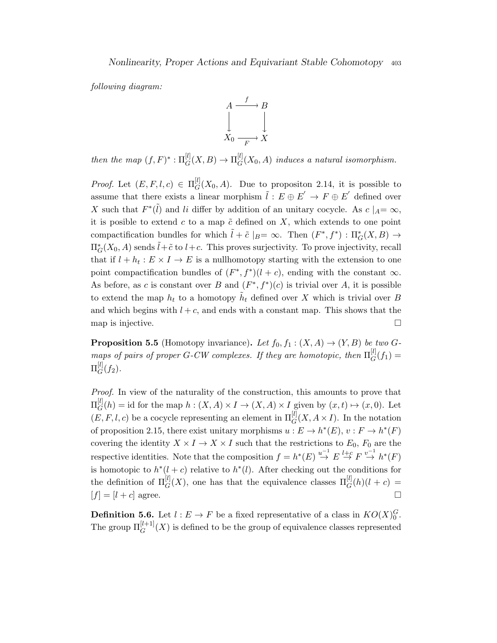following diagram:



then the map  $(f, F)^* : \Pi_G^{[l]}(X, B) \to \Pi_G^{[l]}$  $G^{[t]}(X_0, A)$  induces a natural isomorphism.

*Proof.* Let  $(E, F, l, c) \in \Pi_G^{[l]}$  $G^{[t]}(X_0, A)$ . Due to propositon 2.14, it is possible to assume that there exists a linear morphism  $\tilde{l}: E \oplus E' \to F \oplus E'$  defined over X such that  $F^*(\tilde{l})$  and li differ by addition of an unitary cocycle. As  $c \mid_A = \infty$ , it is posible to extend c to a map  $\tilde{c}$  defined on X, which extends to one point compactification bundles for which  $\tilde{l} + \tilde{c} \mid_B = \infty$ . Then  $(F^*, f^*) : \Pi^*_{G}(X, B) \to$  $\Pi^*_{G}(X_0, A)$  sends  $\tilde{l}+\tilde{c}$  to  $l+c$ . This proves surjectivity. To prove injectivity, recall that if  $l + h_t : E \times I \to E$  is a nullhomotopy starting with the extension to one point compactification bundles of  $(F^*, f^*)(l + c)$ , ending with the constant  $\infty$ . As before, as c is constant over B and  $(F^*, f^*)(c)$  is trivial over A, it is possible to extend the map  $h_t$  to a homotopy  $\tilde{h}_t$  defined over X which is trivial over B and which begins with  $l + c$ , and ends with a constant map. This shows that the map is injective.  $\Box$ 

**Proposition 5.5** (Homotopy invariance). Let  $f_0, f_1 : (X, A) \to (Y, B)$  be two Gmaps of pairs of proper G-CW complexes. If they are homotopic, then  $\Pi_G^{[l]}$  $G^{[l]}(f_1) =$  $\Pi^{[l]}_G$  $G^{(t)}(f_2).$ 

Proof. In view of the naturality of the construction, this amounts to prove that  $\Pi^{[l]}_G$  $G_G^{[t]}(h) = \text{id}$  for the map  $h : (X, A) \times I \to (X, A) \times I$  given by  $(x, t) \mapsto (x, 0)$ . Let  $(E, F, l, c)$  be a cocycle representing an element in  $\Pi_G^{[l]}(X, A \times I)$ . In the notation of proposition 2.15, there exist unitary morphisms  $u : E \to h^*(E)$ ,  $v : F \to h^*(F)$ covering the identity  $X \times I \to X \times I$  such that the restrictions to  $E_0$ ,  $F_0$  are the respective identities. Note that the composition  $f = h^*(E) \stackrel{u^{-1}}{\rightarrow} E \stackrel{l+c}{\rightarrow} F \stackrel{v^{-1}}{\rightarrow} h^*(F)$ is homotopic to  $h^*(l+c)$  relative to  $h^*(l)$ . After checking out the conditions for the definition of  $\Pi_G^{[l]}(X)$ , one has that the equivalence classes  $\Pi_G^{[l]}(h)(l+c)$  $[f] = [l + c]$  agree.

**Definition 5.6.** Let  $l : E \to F$  be a fixed representative of a class in  $KO(X)_0^G$ . The group  $\Pi_G^{[l+1]}(X)$  is defined to be the group of equivalence classes represented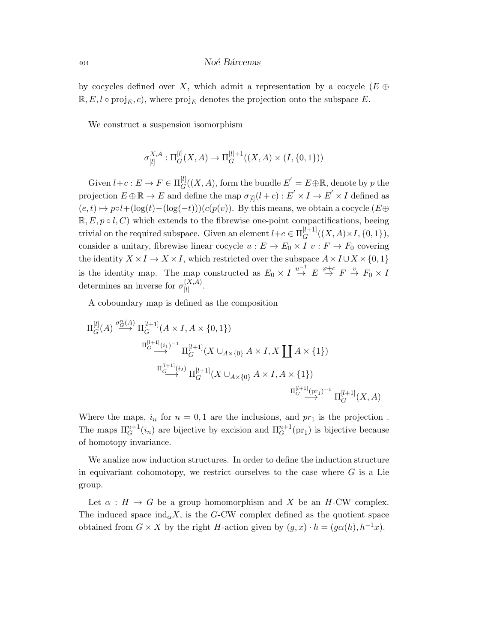by cocycles defined over X, which admit a representation by a cocycle ( $E \oplus$  $\mathbb{R}, E, l \circ \text{proj}_E, c$ , where  $\text{proj}_E$  denotes the projection onto the subspace E.

We construct a suspension isomorphism

$$
\sigma_{[l]}^{X,A} : \Pi_G^{[l]}(X,A) \to \Pi_G^{[l]+1}((X,A) \times (I,\{0,1\}))
$$

Given  $l+c: E \to F \in \Pi_G^{[l]}$  $G^{[l]}(X, A)$ , form the bundle  $E' = E \oplus \mathbb{R}$ , denote by p the projection  $E \oplus \mathbb{R} \to E$  and define the map  $\sigma_{[l]}(l+c) : E' \times I \to E' \times I$  defined as  $(e, t) \mapsto pol + (\log(t) - (\log(-t)))(c(p(v))$ . By this means, we obtain a cocycle  $(E \oplus E)$  $\mathbb{R}, E, p \circ l, C$  which extends to the fibrewise one-point compactifications, beeing trivial on the required subspace. Given an element  $l+c \in \Pi_G^{[l+1]}$  $G^{[t+1]}((X,A)\times I,\{0,1\}),$ consider a unitary, fibrewise linear cocycle  $u : E \to E_0 \times I$   $v : F \to F_0$  covering the identity  $X \times I \to X \times I$ , which restricted over the subspace  $A \times I \cup X \times \{0, 1\}$ is the identity map. The map constructed as  $E_0 \times I \stackrel{u^{-1}}{\to} E \stackrel{\varphi+c}{\to} F \stackrel{v}{\to} F_0 \times I$ determines an inverse for  $\sigma_{[l]}^{(X,A)}$  $\frac{(\Lambda,A)}{[l]}$  .

A coboundary map is defined as the composition

$$
\begin{CD} \Pi_G^{[l]}(A) \stackrel{\sigma_G^n(A)}{\longrightarrow} \Pi_G^{[l+1]}(A \times I, A \times \{0, 1\}) \\ \stackrel{\Pi_G^{[l+1]}(i_1)^{-1}}{\longrightarrow} \Pi_G^{[l+1]}(X \cup_{A \times \{0\}} A \times I, X \coprod A \times \{1\}) \\ \stackrel{\Pi_G^{[l+1]}(i_2)}{\longrightarrow} \Pi_G^{[l+1]}(X \cup_{A \times \{0\}} A \times I, A \times \{1\}) \\ \stackrel{\Pi_G^{[l+1]}(\text{pr}_1)^{-1}}{\longrightarrow} \Pi_G^{[l+1]}(X, A) \end{CD}
$$

Where the maps,  $i_n$  for  $n = 0, 1$  are the inclusions, and  $pr_1$  is the projection. The maps  $\Pi_G^{n+1}(i_n)$  are bijective by excision and  $\Pi_G^{n+1}(\text{pr}_1)$  is bijective because of homotopy invariance.

We analize now induction structures. In order to define the induction structure in equivariant cohomotopy, we restrict ourselves to the case where  $G$  is a Lie group.

Let  $\alpha : H \to G$  be a group homomorphism and X be an H-CW complex. The induced space  $\text{ind}_{\alpha} X$ , is the G-CW complex defined as the quotient space obtained from  $G \times X$  by the right H-action given by  $(g, x) \cdot h = (g\alpha(h), h^{-1}x)$ .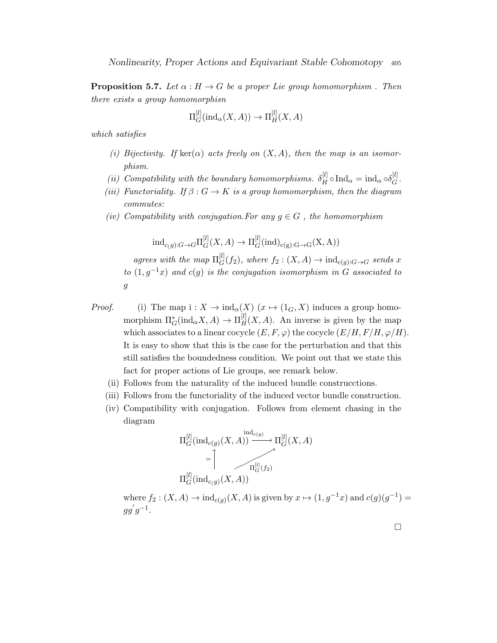**Proposition 5.7.** Let  $\alpha : H \to G$  be a proper Lie group homomorphism . Then there exists a group homomorphisn

$$
\Pi_G^{[l]}(\text{ind}_\alpha(X,A)) \to \Pi_H^{[l]}(X,A)
$$

which satisfies

- (i) Bijectivity. If  $\text{ker}(\alpha)$  acts freely on  $(X, A)$ , then the map is an isomorphism.
- (ii) Compatibility with the boundary homomorphisms.  $\delta_H^{[l]} \circ \text{Ind}_{\alpha} = \text{ind}_{\alpha} \circ \delta_G^{[l]}$  $_G^{[t]}$  .
- (iii) Functoriality. If  $\beta: G \to K$  is a group homomorphism, then the diagram commutes:
- (iv) Compatibility with conjugation. For any  $g \in G$ , the homomorphism

 $\operatorname{ind}_{c(g):G\to G} \Pi_G^{[l]}$  $_G^{[l]}(X,A)\to \Pi_G^{[l]}$  $G^{[t]}(\text{ind})_{c(g):G\rightarrow G}(X,A))$ 

agrees with the map  $\Pi_G^{[l]}$  $G^{[t]}(f_2)$ , where  $f_2: (X, A) \to \text{ind}_{c(g):G \to G}$  sends x to  $(1, g^{-1}x)$  and  $c(g)$  is the conjugation isomorphism in G associated to g

- *Proof.* (i) The map  $i : X \to \text{ind}_{\alpha}(X)$  ( $x \mapsto (1_G, X)$  induces a group homomorphism  $\Pi_G^*({\rm ind}_{\alpha}X,A) \to \Pi_H^{[l]}(X,A)$ . An inverse is given by the map which associates to a linear cocycle  $(E, F, \varphi)$  the cocycle  $(E/H, F/H, \varphi/H)$ . It is easy to show that this is the case for the perturbation and that this still satisfies the boundedness condition. We point out that we state this fact for proper actions of Lie groups, see remark below.
	- (ii) Follows from the naturality of the induced bundle construcctions.
	- (iii) Follows from the functoriality of the induced vector bundle construction.
	- (iv) Compatibility with conjugation. Follows from element chasing in the diagram

$$
\Pi_G^{[l]}(\text{ind}_{c(g)}(X, A)) \xrightarrow{\text{ind}_{c(g)}} \Pi_G^{[l]}(X, A)
$$
  
=
$$
\uparrow
$$
  

$$
\Pi_G^{[l]}(\text{ind}_{c(g)}(X, A))
$$

where  $f_2: (X, A) \to \text{ind}_{c(g)}(X, A)$  is given by  $x \mapsto (1, g^{-1}x)$  and  $c(g)(g^{-1}) =$  $gg'g^{-1}.$ 

 $\Box$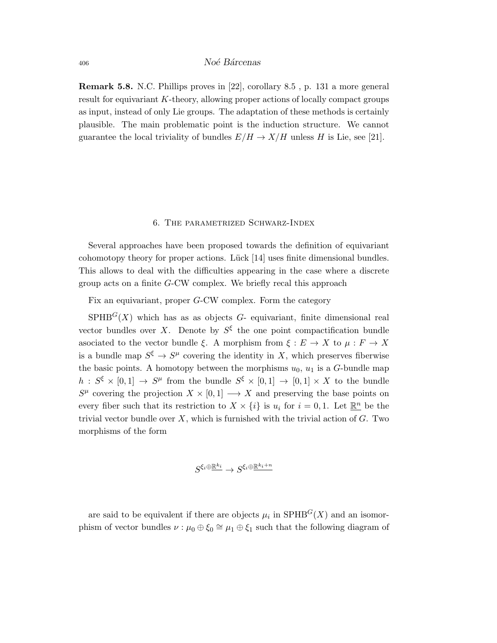Remark 5.8. N.C. Phillips proves in [22], corollary 8.5 , p. 131 a more general result for equivariant K-theory, allowing proper actions of locally compact groups as input, instead of only Lie groups. The adaptation of these methods is certainly plausible. The main problematic point is the induction structure. We cannot guarantee the local triviality of bundles  $E/H \to X/H$  unless H is Lie, see [21].

## 6. The parametrized Schwarz-Index

Several approaches have been proposed towards the definition of equivariant cohomotopy theory for proper actions. Lück  $[14]$  uses finite dimensional bundles. This allows to deal with the difficulties appearing in the case where a discrete group acts on a finite G-CW complex. We briefly recal this approach

Fix an equivariant, proper G-CW complex. Form the category

 $SPHB<sup>G</sup>(X)$  which has as as objects G- equivariant, finite dimensional real vector bundles over X. Denote by  $S^{\xi}$  the one point compactification bundle asociated to the vector bundle ξ. A morphism from  $\xi : E \to X$  to  $\mu : F \to X$ is a bundle map  $S^{\xi} \to S^{\mu}$  covering the identity in X, which preserves fiberwise the basic points. A homotopy between the morphisms  $u_0$ ,  $u_1$  is a G-bundle map  $h: S^{\xi} \times [0,1] \to S^{\mu}$  from the bundle  $S^{\xi} \times [0,1] \to [0,1] \times X$  to the bundle  $S^{\mu}$  covering the projection  $X \times [0,1] \longrightarrow X$  and preserving the base points on every fiber such that its restriction to  $X \times \{i\}$  is  $u_i$  for  $i = 0, 1$ . Let  $\mathbb{R}^n$  be the trivial vector bundle over  $X$ , which is furnished with the trivial action of  $G$ . Two morphisms of the form

$$
S^{\xi_i\oplus \underline{\mathbb{R}^{k_i}}}\rightarrow S^{\xi_i\oplus \underline{\mathbb{R}^{k_i+n}}}
$$

are said to be equivalent if there are objects  $\mu_i$  in  $\text{SPHB}^G(X)$  and an isomorphism of vector bundles  $\nu : \mu_0 \oplus \xi_0 \cong \mu_1 \oplus \xi_1$  such that the following diagram of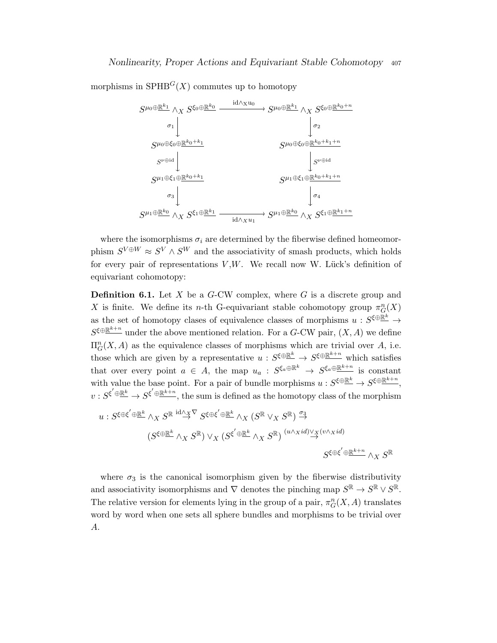morphisms in  $SFHB<sup>G</sup>(X)$  commutes up to homotopy



where the isomorphisms  $\sigma_i$  are determined by the fiberwise defined homeomorphism  $S^{V \oplus W} \approx S^{V} \wedge S^{W}$  and the associativity of smash products, which holds for every pair of representations  $V, W$ . We recall now W. Lück's definition of equivariant cohomotopy:

**Definition 6.1.** Let  $X$  be a  $G$ -CW complex, where  $G$  is a discrete group and X is finite. We define its n-th G-equivariant stable cohomotopy group  $\pi_G^n(X)$ as the set of homotopy clases of equivalence classes of morphisms  $u : S^{\xi \oplus \underline{\mathbb{R}}^k} \to$  $S^{\xi \oplus \underline{\mathbb{R}^{k+n}}}$  under the above mentioned relation. For a G-CW pair,  $(X, A)$  we define  $\Pi_G^n(X, A)$  as the equivalence classes of morphisms which are trivial over A, i.e. those which are given by a representative  $u: S^{\xi \oplus \underline{\mathbb{R}}^k} \to S^{\xi \oplus \underline{\mathbb{R}}^{k+n}}$  which satisfies that over every point  $a \in A$ , the map  $u_a : S^{\xi_a \oplus \mathbb{R}^k} \to S^{\xi_a \oplus \mathbb{R}^{k+n}}$  is constant with value the base point. For a pair of bundle morphisms  $u: S^{\xi \oplus \mathbb{R}^k} \to S^{\xi \oplus \mathbb{R}^{k+n}}$ ,  $v: S^{\xi' \oplus \underline{\mathbb{R}}^k} \to S^{\xi' \oplus \underline{\mathbb{R}}^{k+n}}$ , the sum is defined as the homotopy class of the morphism

$$
u: S^{\xi \oplus \xi'} \oplus \mathbb{R}^k \wedge_X S^{\mathbb{R}} \stackrel{\mathrm{id} \wedge_X \nabla} \to S^{\xi \oplus \xi'} \oplus \mathbb{R}^k \wedge_X (S^{\mathbb{R}} \vee_X S^{\mathbb{R}}) \stackrel{\sigma_3}{\to} \times \left( S^{\xi \oplus \mathbb{R}^k} \wedge_X S^{\mathbb{R}} \right) \vee_X (S^{\xi' \oplus \mathbb{R}^k} \wedge_X S^{\mathbb{R}}) \stackrel{(u \wedge_X id) \vee_X (v \wedge_X id)}{\to} S^{\xi \oplus \xi' \oplus \mathbb{R}^{k+n}} \wedge_X S^{\mathbb{R}}
$$

where  $\sigma_3$  is the canonical isomorphism given by the fiberwise distributivity and associativity isomorphisms and  $\nabla$  denotes the pinching map  $S^{\mathbb{R}} \to S^{\mathbb{R}} \vee S^{\mathbb{R}}$ . The relative version for elements lying in the group of a pair,  $\pi_G^n(X, A)$  translates word by word when one sets all sphere bundles and morphisms to be trivial over A.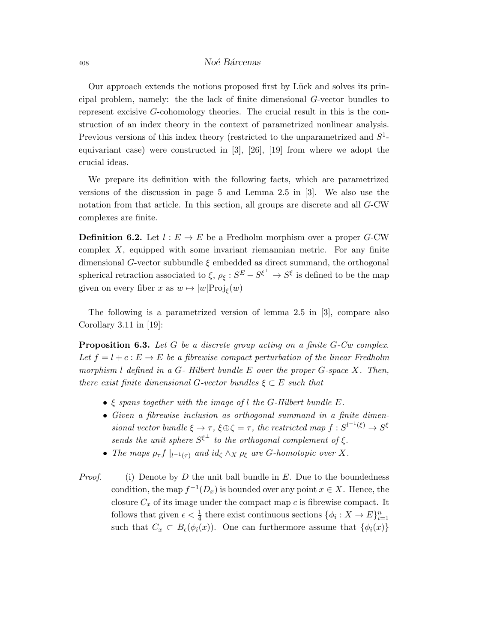Our approach extends the notions proposed first by Lück and solves its principal problem, namely: the the lack of finite dimensional G-vector bundles to represent excisive G-cohomology theories. The crucial result in this is the construction of an index theory in the context of parametrized nonlinear analysis. Previous versions of this index theory (restricted to the unparametrized and  $S<sup>1</sup>$ equivariant case) were constructed in  $[3]$ ,  $[26]$ ,  $[19]$  from where we adopt the crucial ideas.

We prepare its definition with the following facts, which are parametrized versions of the discussion in page 5 and Lemma 2.5 in [3]. We also use the notation from that article. In this section, all groups are discrete and all G-CW complexes are finite.

**Definition 6.2.** Let  $l : E \to E$  be a Fredholm morphism over a proper G-CW complex  $X$ , equipped with some invariant riemannian metric. For any finite dimensional G-vector subbundle  $\xi$  embedded as direct summand, the orthogonal spherical retraction associated to  $\xi$ ,  $\rho_{\xi}: S^{E} - S^{\xi^{\perp}} \to S^{\xi}$  is defined to be the map given on every fiber x as  $w \mapsto |w| \text{Proj}_{\xi}(w)$ 

The following is a parametrized version of lemma 2.5 in [3], compare also Corollary  $3.11$  in [19]:

**Proposition 6.3.** Let G be a discrete group acting on a finite  $G$ -Cw complex. Let  $f = l + c : E \rightarrow E$  be a fibrewise compact perturbation of the linear Fredholm morphism  $l$  defined in a  $G$ - Hilbert bundle  $E$  over the proper  $G$ -space  $X$ . Then, there exist finite dimensional G-vector bundles  $\xi \subset E$  such that

- $\xi$  spans together with the image of l the G-Hilbert bundle E.
- Given a fibrewise inclusion as orthogonal summand in a finite dimensional vector bundle  $\xi \to \tau$ ,  $\xi \oplus \zeta = \tau$ , the restricted map  $f : S^{l^{-1}(\xi)} \to S^{\xi}$ sends the unit sphere  $S^{\xi^{\perp}}$  to the orthogonal complement of  $\xi$ .
- The maps  $\rho_{\tau} f \mid_{l^{-1}(\tau)}$  and  $id_{\zeta} \wedge_X \rho_{\xi}$  are G-homotopic over X.
- *Proof.* (i) Denote by D the unit ball bundle in E. Due to the boundedness condition, the map  $f^{-1}(D_x)$  is bounded over any point  $x \in X$ . Hence, the closure  $C_x$  of its image under the compact map c is fibrewise compact. It follows that given  $\epsilon < \frac{1}{4}$  there exist continuous sections  $\{\phi_i: X \to E\}_{i=1}^n$ such that  $C_x \subset B_{\epsilon}(\phi_i(x))$ . One can furthermore assume that  $\{\phi_i(x)\}$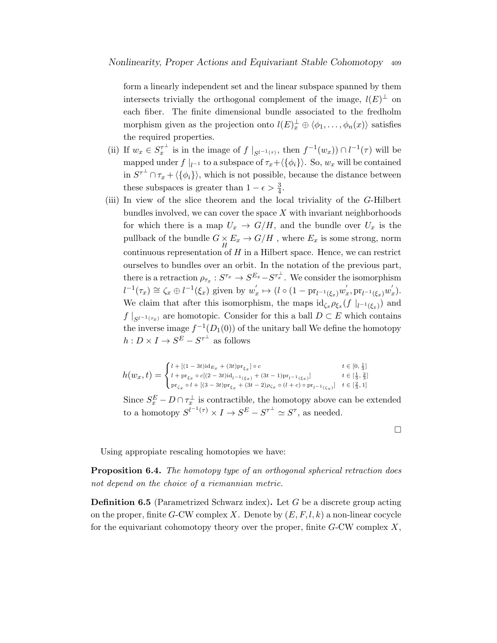form a linearly independent set and the linear subspace spanned by them intersects trivially the orthogonal complement of the image,  $l(E)^{\perp}$  on each fiber. The finite dimensional bundle associated to the fredholm morphism given as the projection onto  $l(E)_{x}^{\perp} \oplus \langle \phi_1, \ldots, \phi_n(x) \rangle$  satisfies the required properties.

- (ii) If  $w_x \in S_x^{\tau^{\perp}}$  is in the image of  $f|_{S^{l^{-1}(\tau)}},$  then  $f^{-1}(w_x) \cap l^{-1}(\tau)$  will be mapped under  $f\mid_{l^{-1}}$  to a subspace of  $\tau_x+\langle\{\phi_i\}\rangle$ . So,  $w_x$  will be contained in  $S^{\tau^{\perp}} \cap \tau_x + \langle \{\phi_i\} \rangle$ , which is not possible, because the distance between these subspaces is greater than  $1 - \epsilon > \frac{3}{4}$ .
- (iii) In view of the slice theorem and the local triviality of the G-Hilbert bundles involved, we can cover the space  $X$  with invariant neighborhoods for which there is a map  $U_x \rightarrow G/H$ , and the bundle over  $U_x$  is the pullback of the bundle  $G \times E_x \to G/H$  , where  $E_x$  is some strong, norm continuous representation of  $H$  in a Hilbert space. Hence, we can restrict ourselves to bundles over an orbit. In the notation of the previous part, there is a retraction  $\rho_{\tau_x}: S^{\tau_x} \to S^{E_x} - S^{\tau_x^{\perp}}$ . We consider the isomorphism  $l^{-1}(\tau_x) \cong \zeta_x \oplus l^{-1}(\xi_x)$  given by  $w'_x \mapsto (l \circ (1 - \text{pr}_{l^{-1}(\xi_x)} w'_x, \text{pr}_{l^{-1}(\xi_x)} w'_x).$ We claim that after this isomorphism, the maps  $\mathrm{id}_{\zeta_x} \rho_{\xi_x}(f \mid_{l^{-1}(\xi_x)})$  and  $f\mid_{S^{l-1}(\tau_x)}$  are homotopic. Consider for this a ball  $D\subset E$  which contains the inverse image  $f^{-1}(D_1(0))$  of the unitary ball We define the homotopy  $h: D \times I \to S^E - S^{\tau^{\perp}}$  as follows

$$
h(w_x, t) = \begin{cases} l + [(1-3t)\mathrm{id}_{E_x} + (3t)\mathrm{pr}_{\xi_x}] \circ c & t \in [0, \frac{1}{3}] \\ l + \mathrm{pr}_{\xi_x} \circ c[(2-3t)\mathrm{id}_{l^{-1}(\xi_x)} + (3t-1)\mathrm{pr}_{l^{-1}(\xi_x)}] & t \in [\frac{1}{3}, \frac{2}{3}] \\ \mathrm{pr}_{\zeta_x} \circ l + [(3-3t)\mathrm{pr}_{\xi_x} + (3t-2)\rho_{\zeta_x} \circ (l+c) \circ \mathrm{pr}_{l^{-1}(\zeta_x)}] & t \in [\frac{2}{3}, 1] \end{cases}
$$

Since  $S_x^E - D \cap \tau_x^{\perp}$  is contractible, the homotopy above can be extended to a homotopy  $S^{l^{-1}(\tau)} \times I \to S^E - S^{\tau^{\perp}} \simeq S^{\tau}$ , as needed.

Using appropiate rescaling homotopies we have:

**Proposition 6.4.** The homotopy type of an orthogonal spherical retraction does not depend on the choice of a riemannian metric.

**Definition 6.5** (Parametrized Schwarz index). Let G be a discrete group acting on the proper, finite G-CW complex X. Denote by  $(E, F, l, k)$  a non-linear cocycle for the equivariant cohomotopy theory over the proper, finite  $G$ -CW complex X,

 $\Box$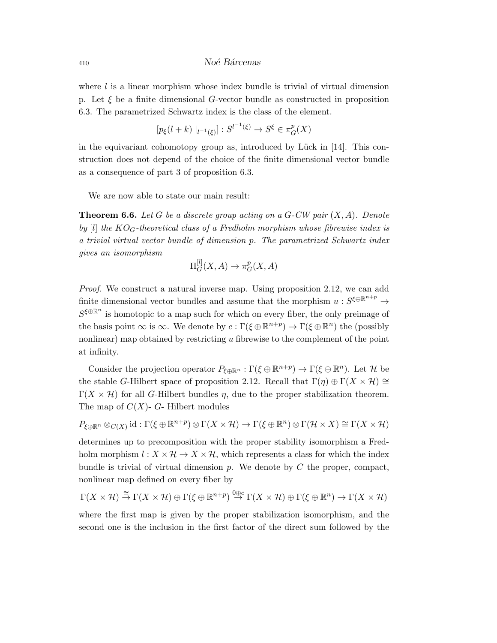where  $l$  is a linear morphism whose index bundle is trivial of virtual dimension p. Let  $\xi$  be a finite dimensional G-vector bundle as constructed in proposition 6.3. The parametrized Schwartz index is the class of the element.

$$
[p_{\xi}(l+k) |_{l^{-1}(\xi)}] : S^{l^{-1}(\xi)} \to S^{\xi} \in \pi_G^p(X)
$$

in the equivariant cohomotopy group as, introduced by Lück in  $[14]$ . This construction does not depend of the choice of the finite dimensional vector bundle as a consequence of part 3 of proposition 6.3.

We are now able to state our main result:

**Theorem 6.6.** Let G be a discrete group acting on a G-CW pair  $(X, A)$ . Denote by [l] the  $KO_G$ -theoretical class of a Fredholm morphism whose fibrewise index is a trivial virtual vector bundle of dimension p. The parametrized Schwartz index gives an isomorphism

$$
\Pi_G^{[l]}(X, A) \to \pi_G^p(X, A)
$$

Proof. We construct a natural inverse map. Using proposition 2.12, we can add finite dimensional vector bundles and assume that the morphism  $u: S^{\xi \oplus \mathbb{R}^{n+p}} \to$  $S^{\xi \oplus \mathbb{R}^n}$  is homotopic to a map such for which on every fiber, the only preimage of the basis point  $\infty$  is  $\infty$ . We denote by  $c : \Gamma(\xi \oplus \mathbb{R}^{n+p}) \to \Gamma(\xi \oplus \mathbb{R}^n)$  the (possibly nonlinear) map obtained by restricting  $u$  fibrewise to the complement of the point at infinity.

Consider the projection operator  $P_{\xi \oplus \mathbb{R}^n} : \Gamma(\xi \oplus \mathbb{R}^{n+p}) \to \Gamma(\xi \oplus \mathbb{R}^n)$ . Let H be the stable G-Hilbert space of proposition 2.12. Recall that  $\Gamma(\eta) \oplus \Gamma(X \times \mathcal{H}) \cong$  $\Gamma(X \times \mathcal{H})$  for all G-Hilbert bundles  $\eta$ , due to the proper stabilization theorem. The map of  $C(X)$ - G- Hilbert modules

 $P_{\xi \oplus \mathbb{R}^n} \otimes_{C(X)} \mathrm{id} : \Gamma(\xi \oplus \mathbb{R}^{n+p}) \otimes \Gamma(X \times \mathcal{H}) \to \Gamma(\xi \oplus \mathbb{R}^n) \otimes \Gamma(\mathcal{H} \times X) \cong \Gamma(X \times \mathcal{H})$ 

determines up to precomposition with the proper stability isomorphism a Fredholm morphism  $l : X \times \mathcal{H} \to X \times \mathcal{H}$ , which represents a class for which the index bundle is trivial of virtual dimension  $p$ . We denote by  $C$  the proper, compact, nonlinear map defined on every fiber by

$$
\Gamma(X\times \mathcal{H})\stackrel{\cong}{\to}\Gamma(X\times \mathcal{H})\oplus\Gamma(\xi\oplus\mathbb{R}^{n+p})\stackrel{0\oplus c}{\to}\Gamma(X\times \mathcal{H})\oplus\Gamma(\xi\oplus\mathbb{R}^n)\to\Gamma(X\times \mathcal{H})
$$

where the first map is given by the proper stabilization isomorphism, and the second one is the inclusion in the first factor of the direct sum followed by the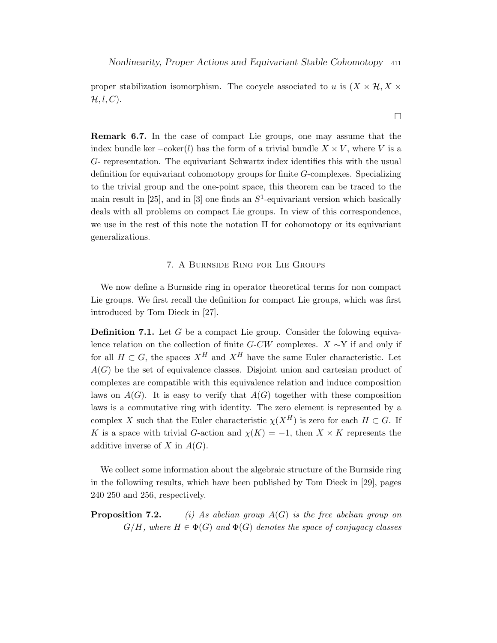proper stabilization isomorphism. The cocycle associated to u is  $(X \times H, X \times$  $\mathcal{H}, l, C$ ).

Remark 6.7. In the case of compact Lie groups, one may assume that the index bundle ker  $-coker(l)$  has the form of a trivial bundle  $X \times V$ , where V is a G- representation. The equivariant Schwartz index identifies this with the usual definition for equivariant cohomotopy groups for finite G-complexes. Specializing to the trivial group and the one-point space, this theorem can be traced to the main result in [25], and in [3] one finds an  $S^1$ -equivariant version which basically deals with all problems on compact Lie groups. In view of this correspondence, we use in the rest of this note the notation  $\Pi$  for cohomotopy or its equivariant generalizations.

## 7. A Burnside Ring for Lie Groups

We now define a Burnside ring in operator theoretical terms for non compact Lie groups. We first recall the definition for compact Lie groups, which was first introduced by Tom Dieck in [27].

**Definition 7.1.** Let G be a compact Lie group. Consider the folowing equivalence relation on the collection of finite G-CW complexes.  $X \sim Y$  if and only if for all  $H \subset G$ , the spaces  $X^H$  and  $X^H$  have the same Euler characteristic. Let  $A(G)$  be the set of equivalence classes. Disjoint union and cartesian product of complexes are compatible with this equivalence relation and induce composition laws on  $A(G)$ . It is easy to verify that  $A(G)$  together with these composition laws is a commutative ring with identity. The zero element is represented by a complex X such that the Euler characteristic  $\chi(X^H)$  is zero for each  $H \subset G$ . If K is a space with trivial G-action and  $\chi(K) = -1$ , then  $X \times K$  represents the additive inverse of X in  $A(G)$ .

We collect some information about the algebraic structure of the Burnside ring in the followiing results, which have been published by Tom Dieck in [29], pages 240 250 and 256, respectively.

**Proposition 7.2.** (i) As abelian group  $A(G)$  is the free abelian group on  $G/H$ , where  $H \in \Phi(G)$  and  $\Phi(G)$  denotes the space of conjugacy classes

 $\Box$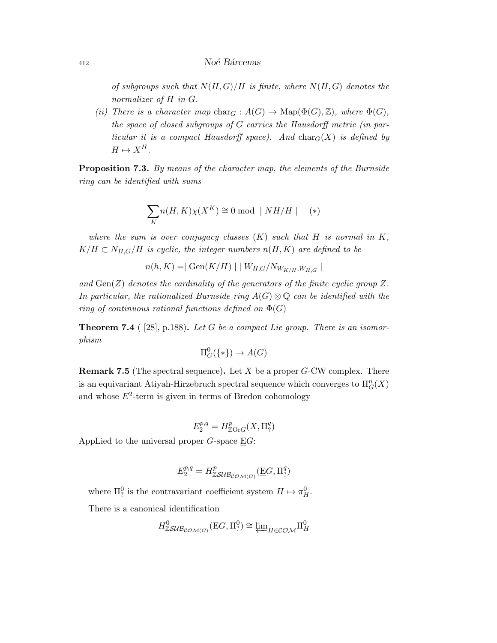of subgroups such that  $N(H, G)/H$  is finite, where  $N(H, G)$  denotes the normalizer of H in G.

(ii) There is a character map char<sub>G</sub> :  $A(G) \to \text{Map}(\Phi(G), \mathbb{Z})$ , where  $\Phi(G)$ , the space of closed subgroups of G carries the Hausdorff metric (in particular it is a compact Hausdorff space). And  $char_G(X)$  is defined by  $H \mapsto X^H$ .

Proposition 7.3. By means of the character map, the elements of the Burnside ring can be identified with sums

$$
\sum_{K} n(H, K)\chi(X^{K}) \cong 0 \bmod \mid NH/H \mid (*)
$$

where the sum is over conjugacy classes  $(K)$  such that H is normal in K,  $K/H \subset N_{H,G}/H$  is cyclic, the integer numbers  $n(H, K)$  are defined to be

$$
n(h, K) = |\text{ Gen}(K/H)| |W_{H,G}/N_{W_{K/H}, W_{H,G}}|
$$

and  $Gen(Z)$  denotes the cardinality of the generators of the finite cyclic group Z. In particular, the rationalized Burnside ring  $A(G) \otimes \mathbb{Q}$  can be identified with the ring of continuous rational functions defined on  $\Phi(G)$ 

**Theorem 7.4** ( [28], p.188). Let G be a compact Lie group. There is an isomorphism

$$
\Pi^0_G(\{*\}) \to A(G)
$$

**Remark 7.5** (The spectral sequence). Let  $X$  be a proper  $G$ -CW complex. There is an equivariant Atiyah-Hirzebruch spectral sequence which converges to  $\Pi_G^n(X)$ and whose  $E^2$ -term is given in terms of Bredon cohomology

$$
E_2^{p,q} = H^p_{\mathbb{Z}\mathrm{Or}G}(X,\Pi^q_?)
$$

AppLied to the universal proper  $G$ -space  $\underline{E}G$ :

$$
E_2^{p,q} = H^p_{\mathbb{Z} \mathcal{S} \mathcal{U} \mathcal{B}_{\mathcal{COM}(G)}}(\underline{E} G, \Pi_?^q)
$$

where  $\Pi_?^0$  is the contravariant coefficient system  $H \mapsto \pi_H^0$ .

There is a canonical identification

$$
H^0_{\mathbb{Z}SUB_{\mathcal{COM}(G)}}(\underline{\mathrm{E}}G,\Pi_?^0) \cong \varprojlim_{H \in \mathcal{COM}} \Pi_H^0
$$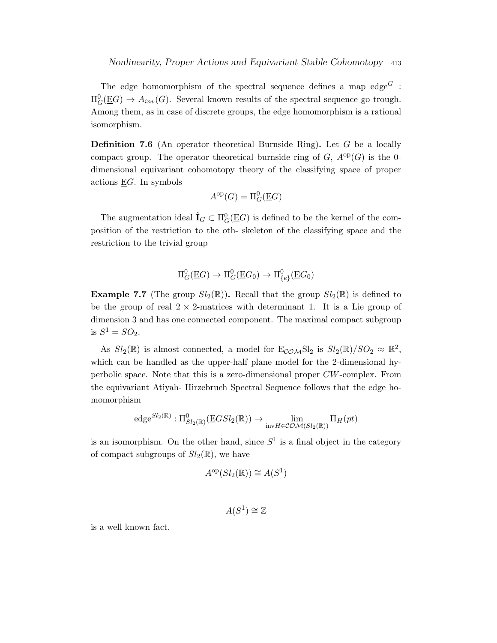The edge homomorphism of the spectral sequence defines a map edge<sup> $G$ </sup>:  $\Pi^0_G(\underline{\mathrm{E}}G) \to A_{inv}(G)$ . Several known results of the spectral sequence go trough. Among them, as in case of discrete groups, the edge homomorphism is a rational isomorphism.

**Definition 7.6** (An operator theoretical Burnside Ring). Let  $G$  be a locally compact group. The operator theoretical burnside ring of  $G, A^{\rm op}(G)$  is the 0dimensional equivariant cohomotopy theory of the classifying space of proper actions  $EG$ . In symbols

$$
A^{\rm op}(G) = \Pi^0_G(\underline{E}G)
$$

The augmentation ideal  $\hat{\mathbf{I}}_G \subset \Pi_G^0(\underline{\mathbf{E}}G)$  is defined to be the kernel of the composition of the restriction to the oth- skeleton of the classifying space and the restriction to the trivial group

$$
\Pi^0_G(\underline{\mathbf{E}}G) \to \Pi^0_G(\underline{\mathbf{E}}G_0) \to \Pi^0_{\{e\}}(\underline{\mathbf{E}}G_0)
$$

**Example 7.7** (The group  $Sl_2(\mathbb{R})$ ). Recall that the group  $Sl_2(\mathbb{R})$  is defined to be the group of real  $2 \times 2$ -matrices with determinant 1. It is a Lie group of dimension 3 and has one connected component. The maximal compact subgroup is  $S^1 = SO_2$ .

As  $Sl_2(\mathbb{R})$  is almost connected, a model for  $E_{COM}Sl_2$  is  $Sl_2(\mathbb{R})/SO_2 \approx \mathbb{R}^2$ , which can be handled as the upper-half plane model for the 2-dimensional hyperbolic space. Note that this is a zero-dimensional proper CW-complex. From the equivariant Atiyah- Hirzebruch Spectral Sequence follows that the edge homomorphism

$$
edge^{Sl_2(\mathbb{R})}: \Pi_{Sl_2(\mathbb{R})}^0(\underline{E}GSl_2(\mathbb{R})) \to \lim_{\text{inv } H \in \mathcal{COM}(Sl_2(\mathbb{R}))} \Pi_H(pt)
$$

is an isomorphism. On the other hand, since  $S<sup>1</sup>$  is a final object in the category of compact subgroups of  $Sl_2(\mathbb{R})$ , we have

$$
A^{\rm op}(Sl_2(\mathbb{R})) \cong A(S^1)
$$

$$
A(S^1) \cong \mathbb{Z}
$$

is a well known fact.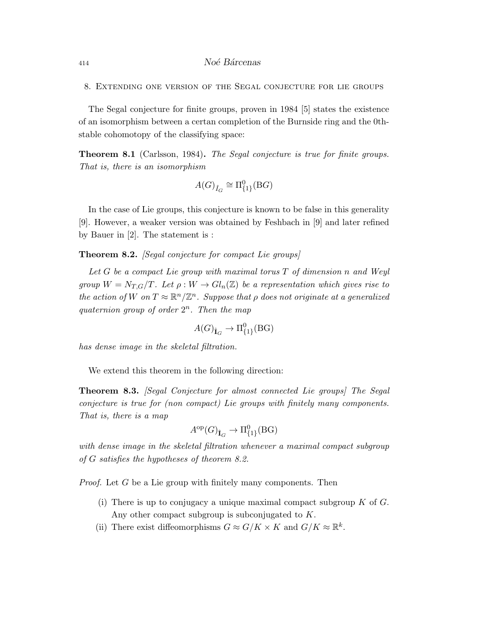8. Extending one version of the Segal conjecture for lie groups

The Segal conjecture for finite groups, proven in 1984 [5] states the existence of an isomorphism between a certan completion of the Burnside ring and the 0thstable cohomotopy of the classifying space:

Theorem 8.1 (Carlsson, 1984). The Segal conjecture is true for finite groups. That is, there is an isomorphism

$$
A(G)_{\hat{I}_G} \cong \Pi^0_{\{1\}}(BG)
$$

In the case of Lie groups, this conjecture is known to be false in this generality [9]. However, a weaker version was obtained by Feshbach in [9] and later refined by Bauer in [2]. The statement is :

Theorem 8.2. [Segal conjecture for compact Lie groups]

Let  $G$  be a compact Lie group with maximal torus  $T$  of dimension n and Weyl group  $W = N_{T,G}/T$ . Let  $\rho: W \to Gl_n(\mathbb{Z})$  be a representation which gives rise to the action of W on  $T \approx \mathbb{R}^n/\mathbb{Z}^n$ . Suppose that  $\rho$  does not originate at a generalized quaternion group of order  $2^n$ . Then the map

$$
A(G)_{\hat{{\mathbf I}}_G} \to \Pi^0_{\{1\}}(\mathrm{B} G)
$$

has dense image in the skeletal filtration.

We extend this theorem in the following direction:

Theorem 8.3. [Segal Conjecture for almost connected Lie groups] The Segal conjecture is true for (non compact) Lie groups with finitely many components. That is, there is a map

$$
A^{\rm op}(G)_{\hat{{\bf I}}_G} \to \Pi^0_{\{1\}}(\mathrm{B} G)
$$

with dense image in the skeletal filtration whenever a maximal compact subgroup of G satisfies the hypotheses of theorem 8.2.

*Proof.* Let  $G$  be a Lie group with finitely many components. Then

- (i) There is up to conjugacy a unique maximal compact subgroup  $K$  of  $G$ . Any other compact subgroup is subconjugated to K.
- (ii) There exist diffeomorphisms  $G \approx G/K \times K$  and  $G/K \approx \mathbb{R}^k$ .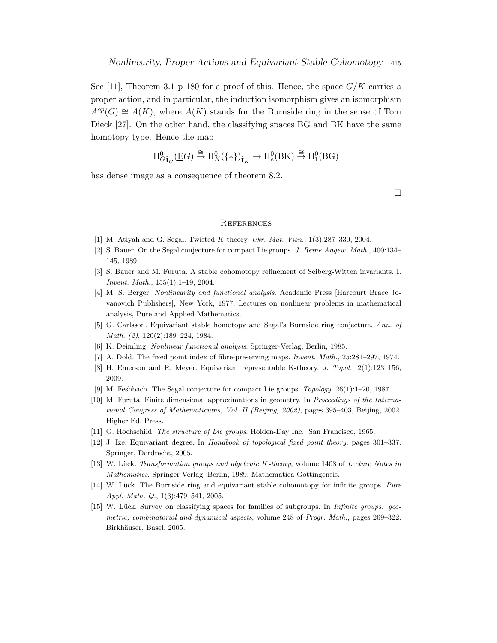See [11], Theorem 3.1 p 180 for a proof of this. Hence, the space  $G/K$  carries a proper action, and in particular, the induction isomorphism gives an isomorphism  $A^{op}(G) \cong A(K)$ , where  $A(K)$  stands for the Burnside ring in the sense of Tom Dieck [27]. On the other hand, the classifying spaces BG and BK have the same homotopy type. Hence the map

$$
\Pi^0_{G\hat{\mathbf I}_G}(\underline{\mathrm{E}} G)\overset{\cong}\to \Pi^0_K(\{\ast\})_{\hat{\mathbf I}_K}\to \Pi^0_e(\mathrm{B}\mathrm{K})\overset{\cong}\to \Pi^0_1(\mathrm{B}\mathrm{G})
$$

has dense image as a consequence of theorem 8.2.

 $\Box$ 

#### **REFERENCES**

- [1] M. Atiyah and G. Segal. Twisted K-theory. Ukr. Mat. Visn., 1(3):287–330, 2004.
- [2] S. Bauer. On the Segal conjecture for compact Lie groups. J. Reine Angew. Math., 400:134– 145, 1989.
- [3] S. Bauer and M. Furuta. A stable cohomotopy refinement of Seiberg-Witten invariants. I. Invent. Math., 155(1):1–19, 2004.
- [4] M. S. Berger. Nonlinearity and functional analysis. Academic Press [Harcourt Brace Jovanovich Publishers], New York, 1977. Lectures on nonlinear problems in mathematical analysis, Pure and Applied Mathematics.
- [5] G. Carlsson. Equivariant stable homotopy and Segal's Burnside ring conjecture. Ann. of Math. (2), 120(2):189–224, 1984.
- [6] K. Deimling. Nonlinear functional analysis. Springer-Verlag, Berlin, 1985.
- [7] A. Dold. The fixed point index of fibre-preserving maps. Invent. Math., 25:281–297, 1974.
- [8] H. Emerson and R. Meyer. Equivariant representable K-theory. J. Topol., 2(1):123–156, 2009.
- [9] M. Feshbach. The Segal conjecture for compact Lie groups. Topology, 26(1):1–20, 1987.
- [10] M. Furuta. Finite dimensional approximations in geometry. In Proceedings of the International Congress of Mathematicians, Vol. II (Beijing, 2002), pages 395–403, Beijing, 2002. Higher Ed. Press.
- [11] G. Hochschild. The structure of Lie groups. Holden-Day Inc., San Francisco, 1965.
- [12] J. Ize. Equivariant degree. In Handbook of topological fixed point theory, pages 301–337. Springer, Dordrecht, 2005.
- [13] W. Lück. Transformation groups and algebraic K-theory, volume 1408 of Lecture Notes in Mathematics. Springer-Verlag, Berlin, 1989. Mathematica Gottingensis.
- [14] W. Lück. The Burnside ring and equivariant stable cohomotopy for infinite groups. Pure Appl. Math. Q., 1(3):479–541, 2005.
- [15] W. Lück. Survey on classifying spaces for families of subgroups. In *Infinite groups: geo*metric, combinatorial and dynamical aspects, volume 248 of Progr. Math., pages 269–322. Birkhäuser, Basel, 2005.